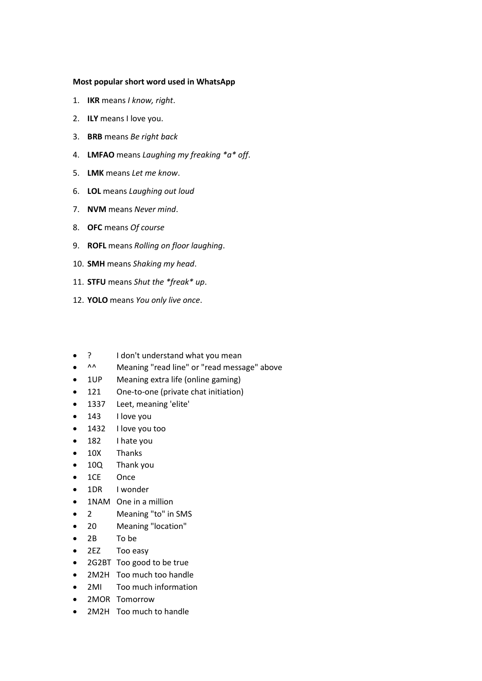## **Most popular short word used in WhatsApp**

- 1. **IKR** means *I know, right*.
- 2. **ILY** means I love you.
- 3. **BRB** means *Be right back*
- 4. **LMFAO** means *Laughing my freaking \*a\* off*.
- 5. **LMK** means *Let me know*.
- 6. **LOL** means *Laughing out loud*
- 7. **NVM** means *Never mind*.
- 8. **OFC** means *Of course*
- 9. **ROFL** means *Rolling on floor laughing*.
- 10. **SMH** means *Shaking my head*.
- 11. **STFU** means *Shut the \*freak\* up*.
- 12. **YOLO** means *You only live once*.
- ? I don't understand what you mean
- ^^ Meaning "read line" or "read message" above
- 1UP Meaning extra life (online gaming)
- 121 One-to-one (private chat initiation)
- 1337 Leet, meaning 'elite'
- 143 I love you
- 1432 I love you too
- 182 I hate you
- 10X Thanks
- 10Q Thank you
- 1CE Once
- 1DR I wonder
- 1NAM One in a million
- 2 Meaning "to" in SMS
- 20 Meaning "location"
- 2B To be
- 2EZ Too easy
- 2G2BT Too good to be true
- 2M2H Too much too handle
- 2MI Too much information
- 2MOR Tomorrow
- 2M2H Too much to handle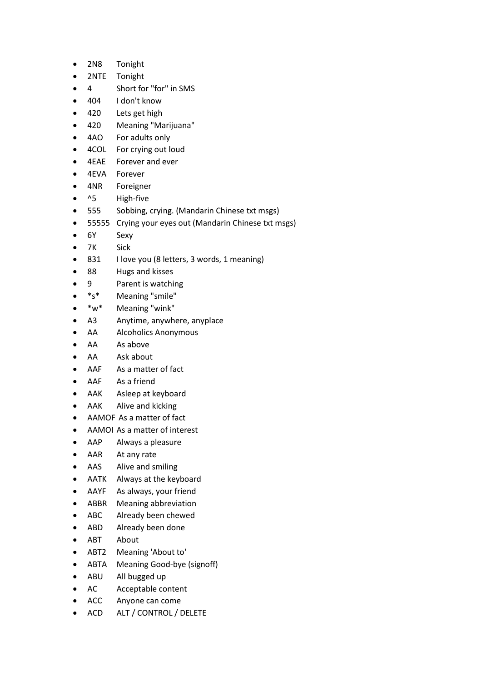- 2N8 Tonight
- 2NTE Tonight
- 4 Short for "for" in SMS
- 404 I don't know
- 420 Lets get high
- 420 Meaning "Marijuana"
- 4AO For adults only
- 4COL For crying out loud
- 4EAE Forever and ever
- 4EVA Forever
- 4NR Foreigner
- ^5 High-five
- 555 Sobbing, crying. (Mandarin Chinese txt msgs)
- 55555 Crying your eyes out (Mandarin Chinese txt msgs)
- 6Y Sexy
- 7K Sick
- 831 I love you (8 letters, 3 words, 1 meaning)
- 88 Hugs and kisses
- 9 Parent is watching
- \*s\* Meaning "smile"
- \*w\* Meaning "wink"
- A3 Anytime, anywhere, anyplace
- AA Alcoholics Anonymous
- AA As above
- AA Ask about
- AAF As a matter of fact
- AAF As a friend
- AAK Asleep at keyboard
- AAK Alive and kicking
- AAMOF As a matter of fact
- AAMOI As a matter of interest
- AAP Always a pleasure
- AAR At any rate
- AAS Alive and smiling
- AATK Always at the keyboard
- AAYF As always, your friend
- ABBR Meaning abbreviation
- ABC Already been chewed
- ABD Already been done
- ABT About
- ABT2 Meaning 'About to'
- ABTA Meaning Good-bye (signoff)
- ABU All bugged up
- AC Acceptable content
- ACC Anyone can come
- ACD ALT / CONTROL / DELETE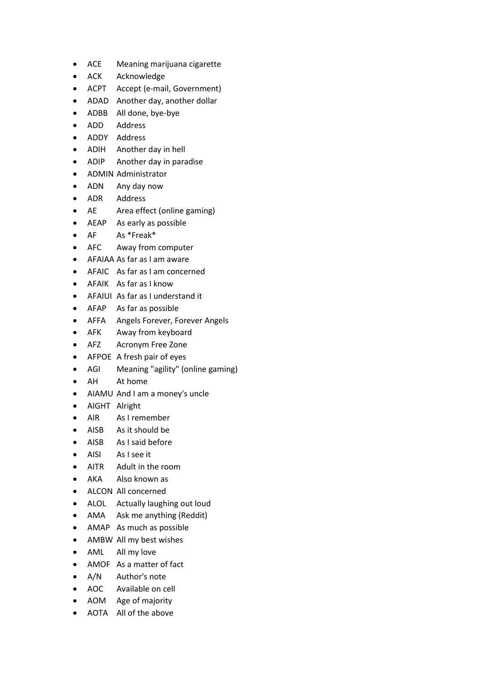- ACE Meaning marijuana cigarette
- ACK Acknowledge
- ACPT Accept (e-mail, Government)
- ADAD Another day, another dollar
- ADBB All done, bye-bye
- ADD Address
- ADDY Address
- ADIH Another day in hell
- ADIP Another day in paradise
- ADMIN Administrator
- ADN Any day now
- ADR Address
- AE Area effect (online gaming)
- AEAP As early as possible
- AF As \*Freak\*
- AFC Away from computer
- AFAIAA As far as I am aware
- AFAIC As far as I am concerned
- AFAIK As far as I know
- AFAIUI As far as I understand it
- AFAP As far as possible
- AFFA Angels Forever, Forever Angels
- AFK Away from keyboard
- AFZ Acronym Free Zone
- AFPOE A fresh pair of eyes
- AGI Meaning "agility" (online gaming)
- AH At home
- AIAMU And I am a money's uncle
- AIGHT Alright
- AIR As I remember
- AISB As it should be
- AISB As I said before
- AISI As I see it
- AITR Adult in the room
- AKA Also known as
- ALCON All concerned
- ALOL Actually laughing out loud
- AMA Ask me anything (Reddit)
- AMAP As much as possible
- AMBW All my best wishes
- AML All my love
- AMOF As a matter of fact
- A/N Author's note
- AOC Available on cell
- AOM Age of majority
- AOTA All of the above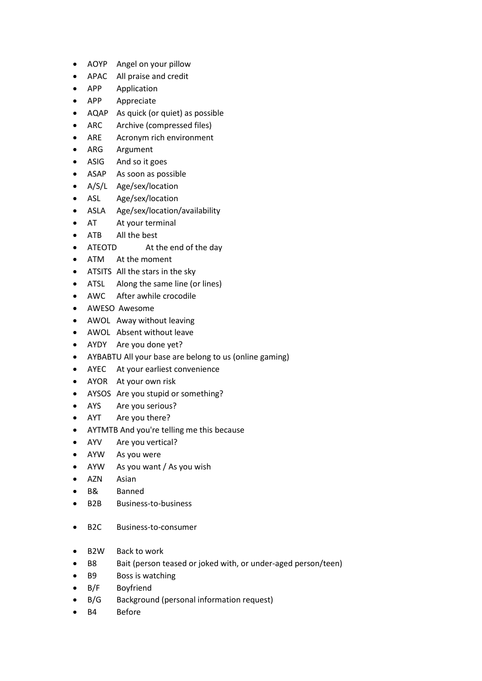- AOYP Angel on your pillow
- APAC All praise and credit
- APP Application
- APP Appreciate
- AQAP As quick (or quiet) as possible
- ARC Archive (compressed files)
- ARE Acronym rich environment
- ARG Argument
- ASIG And so it goes
- ASAP As soon as possible
- A/S/L Age/sex/location
- ASL Age/sex/location
- ASLA Age/sex/location/availability
- AT At your terminal
- ATB All the best
- ATEOTD At the end of the day
- ATM At the moment
- ATSITS All the stars in the sky
- ATSL Along the same line (or lines)
- AWC After awhile crocodile
- AWESO Awesome
- AWOL Away without leaving
- AWOL Absent without leave
- AYDY Are you done yet?
- AYBABTU All your base are belong to us (online gaming)
- AYEC At your earliest convenience
- AYOR At your own risk
- AYSOS Are you stupid or something?
- AYS Are you serious?
- AYT Are you there?
- AYTMTB And you're telling me this because
- AYV Are you vertical?
- AYW As you were
- AYW As you want / As you wish
- AZN Asian
- B& Banned
- B2B Business-to-business
- B2C Business-to-consumer
- B2W Back to work
- B8 Bait (person teased or joked with, or under-aged person/teen)
- B9 Boss is watching
- B/F Boyfriend
- B/G Background (personal information request)
- B4 Before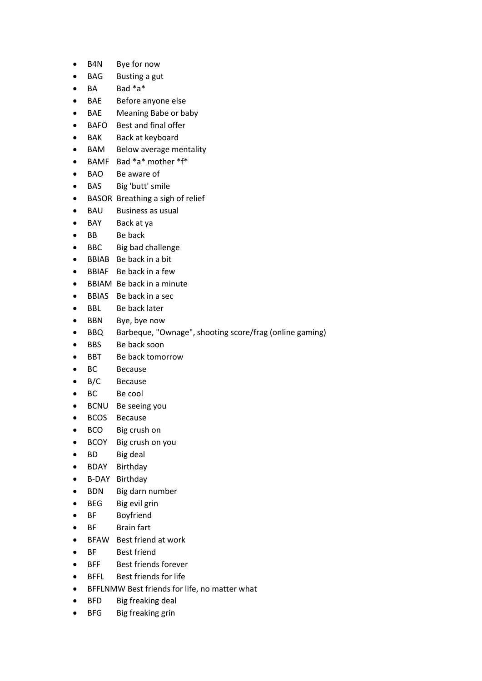- B4N Bye for now
- BAG Busting a gut
- $\bullet$  BA Bad  $*$ a $*$
- BAE Before anyone else
- BAE Meaning Babe or baby
- BAFO Best and final offer
- BAK Back at keyboard
- BAM Below average mentality
- BAMF Bad \*a\* mother \*f\*
- BAO Be aware of
- BAS Big 'butt' smile
- BASOR Breathing a sigh of relief
- BAU Business as usual
- BAY Back at ya
- BB Be back
- BBC Big bad challenge
- BBIAB Be back in a bit
- BBIAF Be back in a few
- BBIAM Be back in a minute
- BBIAS Be back in a sec
- BBL Be back later
- BBN Bye, bye now
- BBQ Barbeque, "Ownage", shooting score/frag (online gaming)
- BBS Be back soon
- BBT Be back tomorrow
- BC Because
- B/C Because
- BC Be cool
- BCNU Be seeing you
- BCOS Because
- BCO Big crush on
- BCOY Big crush on you
- BD Big deal
- BDAY Birthday
- B-DAY Birthday
- BDN Big darn number
- BEG Big evil grin
- BF Boyfriend
- BF Brain fart
- BFAW Best friend at work
- BF Best friend
- BFF Best friends forever
- BFFL Best friends for life
- BFFLNMW Best friends for life, no matter what
- BFD Big freaking deal
- BFG Big freaking grin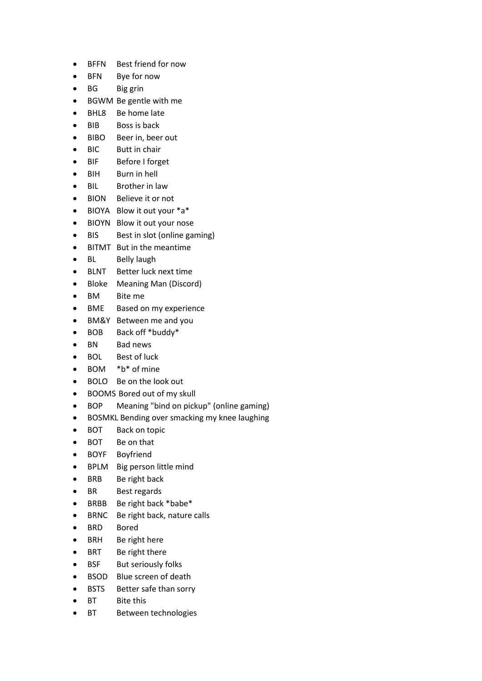- BFFN Best friend for now
- BFN Bye for now
- BG Big grin
- BGWM Be gentle with me
- BHL8 Be home late
- BIB Boss is back
- BIBO Beer in, beer out
- BIC Butt in chair
- BIF Before I forget
- BIH Burn in hell
- BIL Brother in law
- BION Believe it or not
- BIOYA Blow it out your \*a\*
- BIOYN Blow it out your nose
- BIS Best in slot (online gaming)
- BITMT But in the meantime
- BL Belly laugh
- BLNT Better luck next time
- Bloke Meaning Man (Discord)
- BM Bite me
- BME Based on my experience
- BM&Y Between me and you
- BOB Back off \*buddy\*
- BN Bad news
- BOL Best of luck
- BOM \*b\* of mine
- BOLO Be on the look out
- BOOMS Bored out of my skull
- BOP Meaning "bind on pickup" (online gaming)
- BOSMKL Bending over smacking my knee laughing
- BOT Back on topic
- BOT Be on that
- BOYF Boyfriend
- BPLM Big person little mind
- BRB Be right back
- BR Best regards
- BRBB Be right back \*babe\*
- BRNC Be right back, nature calls
- BRD Bored
- BRH Be right here
- BRT Be right there
- BSF But seriously folks
- BSOD Blue screen of death
- BSTS Better safe than sorry
- BT Bite this
- BT Between technologies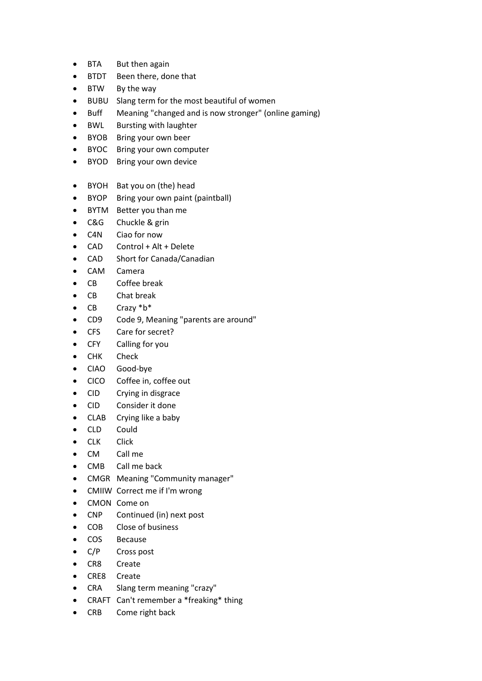- BTA But then again
- BTDT Been there, done that
- BTW By the way
- BUBU Slang term for the most beautiful of women
- Buff Meaning "changed and is now stronger" (online gaming)
- BWL Bursting with laughter
- BYOB Bring your own beer
- BYOC Bring your own computer
- BYOD Bring your own device
- BYOH Bat you on (the) head
- BYOP Bring your own paint (paintball)
- BYTM Better you than me
- C&G Chuckle & grin
- C4N Ciao for now
- CAD Control + Alt + Delete
- CAD Short for Canada/Canadian
- CAM Camera
- CB Coffee break
- CB Chat break
- CB Crazy \*b\*
- CD9 Code 9, Meaning "parents are around"
- CFS Care for secret?
- CFY Calling for you
- CHK Check
- CIAO Good-bye
- CICO Coffee in, coffee out
- CID Crying in disgrace
- CID Consider it done
- CLAB Crying like a baby
- CLD Could
- CLK Click
- CM Call me
- CMB Call me back
- CMGR Meaning "Community manager"
- CMIIW Correct me if I'm wrong
- CMON Come on
- CNP Continued (in) next post
- COB Close of business
- COS Because
- C/P Cross post
- CR8 Create
- CRE8 Create
- CRA Slang term meaning "crazy"
- CRAFT Can't remember a \*freaking\* thing
- CRB Come right back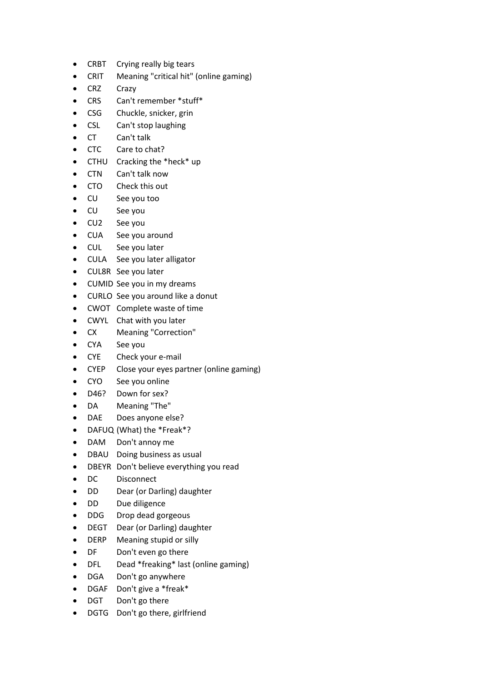- CRBT Crying really big tears
- CRIT Meaning "critical hit" (online gaming)
- CRZ Crazy
- CRS Can't remember \*stuff\*
- CSG Chuckle, snicker, grin
- CSL Can't stop laughing
- CT Can't talk
- CTC Care to chat?
- CTHU Cracking the \*heck\* up
- CTN Can't talk now
- CTO Check this out
- CU See you too
- CU See you
- CU2 See you
- CUA See you around
- CUL See you later
- CULA See you later alligator
- CUL8R See you later
- CUMID See you in my dreams
- CURLO See you around like a donut
- CWOT Complete waste of time
- CWYL Chat with you later
- CX Meaning "Correction"
- CYA See you
- CYE Check your e-mail
- CYEP Close your eyes partner (online gaming)
- CYO See you online
- D46? Down for sex?
- DA Meaning "The"
- DAE Does anyone else?
- DAFUQ (What) the \*Freak\*?
- DAM Don't annoy me
- DBAU Doing business as usual
- DBEYR Don't believe everything you read
- DC Disconnect
- DD Dear (or Darling) daughter
- DD Due diligence
- DDG Drop dead gorgeous
- DEGT Dear (or Darling) daughter
- DERP Meaning stupid or silly
- DF Don't even go there
- DFL Dead \*freaking\* last (online gaming)
- DGA Don't go anywhere
- DGAF Don't give a \*freak\*
- DGT Don't go there
- DGTG Don't go there, girlfriend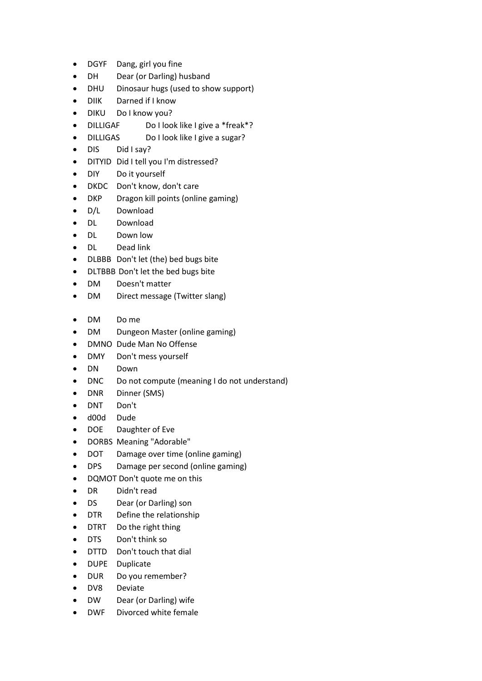- DGYF Dang, girl you fine
- DH Dear (or Darling) husband
- DHU Dinosaur hugs (used to show support)
- DIIK Darned if I know
- DIKU Do I know you?
- DILLIGAF Do I look like I give a \*freak\*?
- DILLIGAS Do I look like I give a sugar?
- DIS Did I say?
- DITYID Did I tell you I'm distressed?
- DIY Do it yourself
- DKDC Don't know, don't care
- DKP Dragon kill points (online gaming)
- D/L Download
- DL Download
- DL Down low
- DL Dead link
- DLBBB Don't let (the) bed bugs bite
- DLTBBB Don't let the bed bugs bite
- DM Doesn't matter
- DM Direct message (Twitter slang)
- DM Do me
- DM Dungeon Master (online gaming)
- DMNO Dude Man No Offense
- DMY Don't mess yourself
- DN Down
- DNC Do not compute (meaning I do not understand)
- DNR Dinner (SMS)
- DNT Don't
- d00d Dude
- DOE Daughter of Eve
- DORBS Meaning "Adorable"
- DOT Damage over time (online gaming)
- DPS Damage per second (online gaming)
- DQMOT Don't quote me on this
- DR Didn't read
- DS Dear (or Darling) son
- DTR Define the relationship
- DTRT Do the right thing
- DTS Don't think so
- DTTD Don't touch that dial
- DUPE Duplicate
- DUR Do you remember?
- DV8 Deviate
- DW Dear (or Darling) wife
- DWF Divorced white female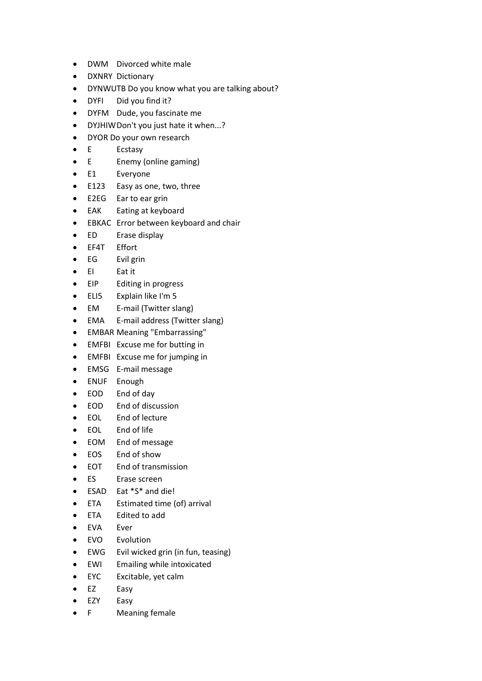- DWM Divorced white male
- DXNRY Dictionary
- DYNWUTB Do you know what you are talking about?
- DYFI Did you find it?
- DYFM Dude, you fascinate me
- DYJHIWDon't you just hate it when...?
- DYOR Do your own research
- E Ecstasy
- E Enemy (online gaming)
- E1 Everyone
- E123 Easy as one, two, three
- E2EG Ear to ear grin
- EAK Eating at keyboard
- EBKAC Error between keyboard and chair
- ED Erase display
- EF4T Effort
- EG Evil grin
- EI Eat it
- EIP Editing in progress
- ELI5 Explain like I'm 5
- EM E-mail (Twitter slang)
- EMA E-mail address (Twitter slang)
- EMBAR Meaning "Embarrassing"
- EMFBI Excuse me for butting in
- EMFBI Excuse me for jumping in
- EMSG E-mail message
- ENUF Enough
- EOD End of day
- EOD End of discussion
- EOL End of lecture
- EOL End of life
- EOM End of message
- EOS End of show
- EOT End of transmission
- ES Erase screen
- ESAD Eat \*S\* and die!
- ETA Estimated time (of) arrival
- ETA Edited to add
- EVA Ever
- EVO Evolution
- EWG Evil wicked grin (in fun, teasing)
- EWI Emailing while intoxicated
- EYC Excitable, yet calm
- EZ Easy
- EZY Easy
- F Meaning female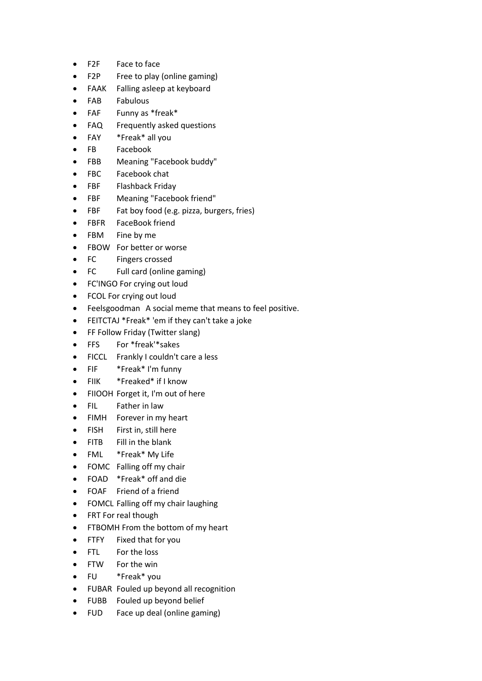- F2F Face to face
- F2P Free to play (online gaming)
- FAAK Falling asleep at keyboard
- FAB Fabulous
- FAF Funny as \*freak\*
- FAQ Frequently asked questions
- FAY \*Freak\* all you
- FB Facebook
- FBB Meaning "Facebook buddy"
- FBC Facebook chat
- FBF Flashback Friday
- FBF Meaning "Facebook friend"
- FBF Fat boy food (e.g. pizza, burgers, fries)
- FBFR FaceBook friend
- FBM Fine by me
- FBOW For better or worse
- FC Fingers crossed
- FC Full card (online gaming)
- FC'INGO For crying out loud
- FCOL For crying out loud
- Feelsgoodman A social meme that means to feel positive.
- FEITCTAJ \*Freak\* 'em if they can't take a joke
- FF Follow Friday (Twitter slang)
- FFS For \*freak'\*sakes
- FICCL Frankly I couldn't care a less
- FIF \*Freak\* I'm funny
- FIIK \*Freaked\* if I know
- FIIOOH Forget it, I'm out of here
- FIL Father in law
- FIMH Forever in my heart
- FISH First in, still here
- FITB Fill in the blank
- FML \*Freak\* My Life
- FOMC Falling off my chair
- FOAD \*Freak\* off and die
- FOAF Friend of a friend
- FOMCL Falling off my chair laughing
- FRT For real though
- FTBOMH From the bottom of my heart
- FTFY Fixed that for you
- FTL For the loss
- FTW For the win
- FU \*Freak\* you
- FUBAR Fouled up beyond all recognition
- FUBB Fouled up beyond belief
- FUD Face up deal (online gaming)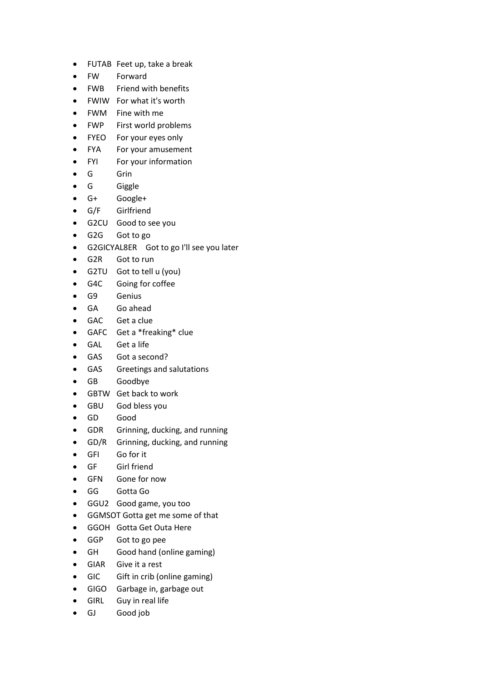- FUTAB Feet up, take a break
- FW Forward
- FWB Friend with benefits
- FWIW For what it's worth
- FWM Fine with me
- FWP First world problems
- FYEO For your eyes only
- FYA For your amusement
- FYI For your information
- G Grin
- G Giggle
- G+ Google+
- G/F Girlfriend
- G2CU Good to see you
- G2G Got to go
- G2GICYAL8ER Got to go I'll see you later
- G2R Got to run
- G2TU Got to tell u (you)
- G4C Going for coffee
- G9 Genius
- GA Go ahead
- GAC Get a clue
- GAFC Get a \*freaking\* clue
- GAL Get a life
- GAS Got a second?
- GAS Greetings and salutations
- GB Goodbye
- GBTW Get back to work
- GBU God bless you
- GD Good
- GDR Grinning, ducking, and running
- GD/R Grinning, ducking, and running
- GFI Go for it
- GF Girl friend
- GFN Gone for now
- GG Gotta Go
- GGU2 Good game, you too
- GGMSOT Gotta get me some of that
- GGOH Gotta Get Outa Here
- GGP Got to go pee
- GH Good hand (online gaming)
- GIAR Give it a rest
- GIC Gift in crib (online gaming)
- GIGO Garbage in, garbage out
- GIRL Guy in real life
- GJ Good job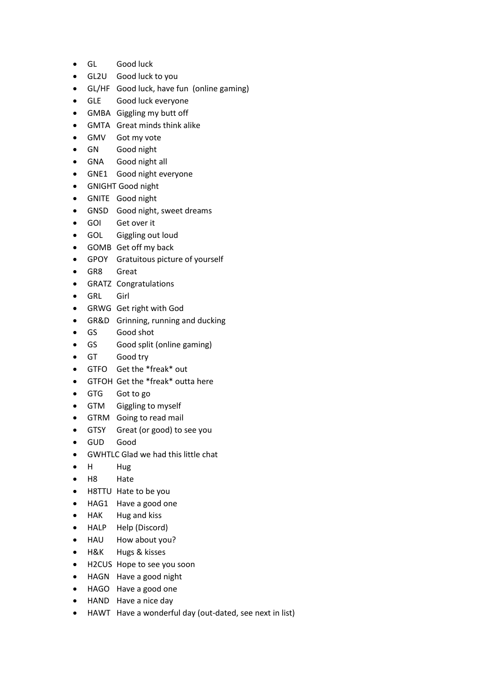- GL Good luck
- GL2U Good luck to you
- GL/HF Good luck, have fun (online gaming)
- GLE Good luck everyone
- GMBA Giggling my butt off
- GMTA Great minds think alike
- GMV Got my vote
- GN Good night
- GNA Good night all
- GNE1 Good night everyone
- GNIGHT Good night
- GNITE Good night
- GNSD Good night, sweet dreams
- GOI Get over it
- GOL Giggling out loud
- GOMB Get off my back
- GPOY Gratuitous picture of yourself
- GR8 Great
- GRATZ Congratulations
- GRL Girl
- GRWG Get right with God
- GR&D Grinning, running and ducking
- GS Good shot
- GS Good split (online gaming)
- GT Good try
- GTFO Get the \*freak\* out
- GTFOH Get the \*freak\* outta here
- GTG Got to go
- GTM Giggling to myself
- GTRM Going to read mail
- GTSY Great (or good) to see you
- GUD Good
- GWHTLC Glad we had this little chat
- H Hug
- H8 Hate
- H8TTU Hate to be you
- HAG1 Have a good one
- HAK Hug and kiss
- HALP Help (Discord)
- HAU How about you?
- H&K Hugs & kisses
- H2CUS Hope to see you soon
- HAGN Have a good night
- HAGO Have a good one
- HAND Have a nice day
- HAWT Have a wonderful day (out-dated, see next in list)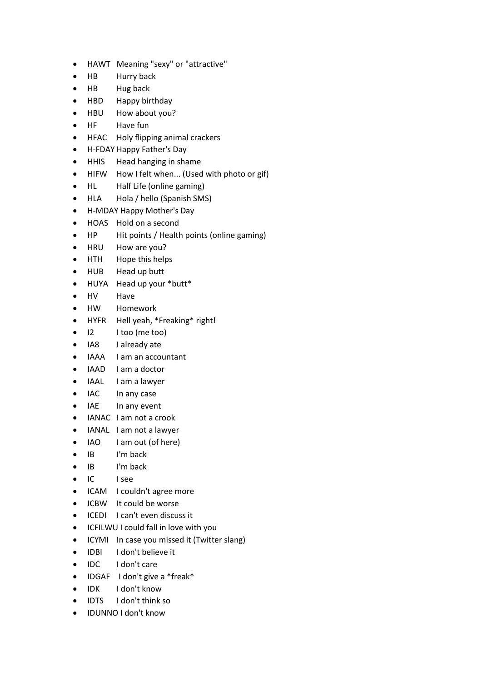- HAWT Meaning "sexy" or "attractive"
- HB Hurry back
- HB Hug back
- HBD Happy birthday
- HBU How about you?
- HF Have fun
- HFAC Holy flipping animal crackers
- H-FDAY Happy Father's Day
- HHIS Head hanging in shame
- HIFW How I felt when... (Used with photo or gif)
- HL Half Life (online gaming)
- HLA Hola / hello (Spanish SMS)
- H-MDAY Happy Mother's Day
- HOAS Hold on a second
- HP Hit points / Health points (online gaming)
- HRU How are you?
- HTH Hope this helps
- HUB Head up butt
- HUYA Head up your \*butt\*
- HV Have
- HW Homework
- HYFR Hell yeah, \*Freaking\* right!
- I2 I too (me too)
- IA8 I already ate
- IAAA I am an accountant
- IAAD I am a doctor
- IAAL I am a lawyer
- IAC In any case
- IAE In any event
- IANAC I am not a crook
- IANAL I am not a lawyer
- IAO I am out (of here)
- IB I'm back
- IB I'm back
- IC I see
- ICAM I couldn't agree more
- ICBW It could be worse
- ICEDI I can't even discuss it
- ICFILWU I could fall in love with you
- ICYMI In case you missed it (Twitter slang)
- IDBI I don't believe it
- IDC I don't care
- IDGAF I don't give a \*freak\*
- IDK I don't know
- IDTS I don't think so
- IDUNNO I don't know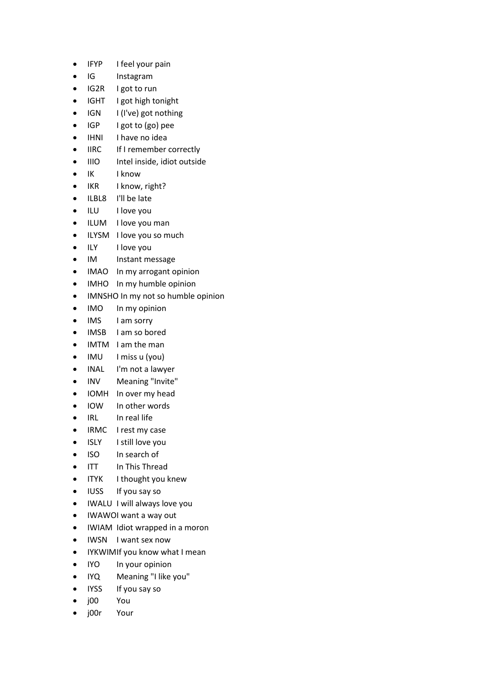- IFYP I feel your pain
- IG Instagram
- IG2R I got to run
- IGHT I got high tonight
- IGN I (I've) got nothing
- IGP I got to (go) pee
- IHNI I have no idea
- IIRC If I remember correctly
- IIIO Intel inside, idiot outside
- IK I know
- IKR I know, right?
- ILBL8 I'll be late
- ILU I love you
- ILUM I love you man
- ILYSM I love you so much
- ILY I love you
- IM Instant message
- IMAO In my arrogant opinion
- IMHO In my humble opinion
- IMNSHO In my not so humble opinion
- IMO In my opinion
- IMS I am sorry
- IMSB I am so bored
- IMTM I am the man
- IMU I miss u (you)
- INAL I'm not a lawyer
- INV Meaning "Invite"
- IOMH In over my head
- IOW In other words
- IRL In real life
- IRMC I rest my case
- ISLY I still love you
- ISO In search of
- ITT In This Thread
- ITYK I thought you knew
- IUSS If you say so
- IWALU I will always love you
- IWAWOI want a way out
- IWIAM Idiot wrapped in a moron
- IWSN I want sex now
- IYKWIMIf you know what I mean
- IYO In your opinion
- IYQ Meaning "I like you"
- IYSS If you say so
- j00 You
- j00r Your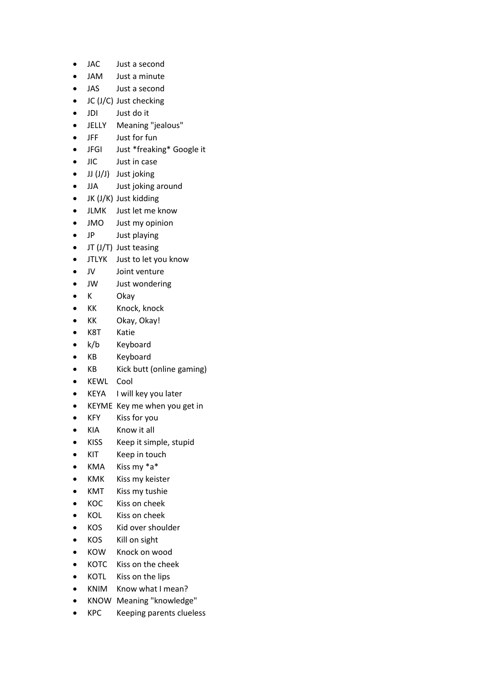- JAC Just a second
- JAM Just a minute
- JAS Just a second
- JC (J/C) Just checking
- JDI Just do it
- JELLY Meaning "jealous"
- JFF Just for fun
- JFGI Just \*freaking\* Google it
- JIC Just in case
- JJ (J/J) Just joking
- JJA Just joking around
- JK (J/K) Just kidding
- JLMK Just let me know
- JMO Just my opinion
- JP Just playing
- JT (J/T) Just teasing
- JTLYK Just to let you know
- JV Joint venture
- JW Just wondering
- K Okay
- KK Knock, knock
- KK Okay, Okay!
- K8T Katie
- k/b Keyboard
- KB Keyboard
- KB Kick butt (online gaming)
- KEWL Cool
- KEYA I will key you later
- KEYME Key me when you get in
- KFY Kiss for you
- KIA Know it all
- KISS Keep it simple, stupid
- KIT Keep in touch
- KMA Kiss my \*a\*
- KMK Kiss my keister
- KMT Kiss my tushie
- KOC Kiss on cheek
- KOL Kiss on cheek
- KOS Kid over shoulder
- KOS Kill on sight
- KOW Knock on wood
- KOTC Kiss on the cheek
- KOTL Kiss on the lips
- KNIM Know what I mean?
- KNOW Meaning "knowledge"
- KPC Keeping parents clueless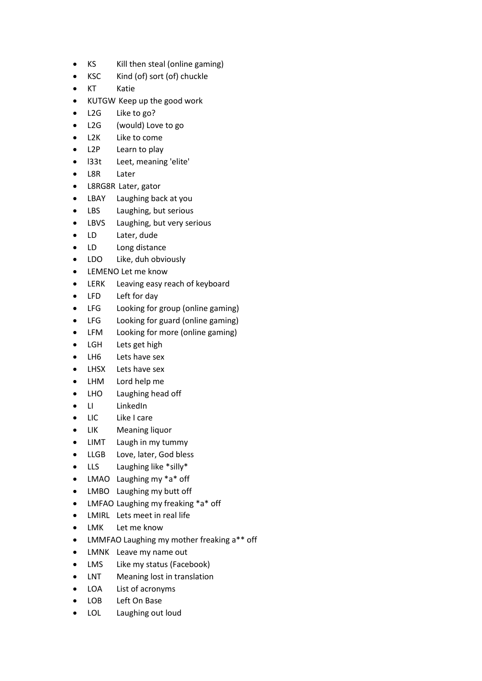- KS Kill then steal (online gaming)
- KSC Kind (of) sort (of) chuckle
- KT Katie
- KUTGW Keep up the good work
- L2G Like to go?
- L2G (would) Love to go
- L2K Like to come
- L2P Learn to play
- l33t Leet, meaning 'elite'
- L8R Later
- L8RG8R Later, gator
- LBAY Laughing back at you
- LBS Laughing, but serious
- LBVS Laughing, but very serious
- LD Later, dude
- LD Long distance
- LDO Like, duh obviously
- LEMENO Let me know
- LERK Leaving easy reach of keyboard
- LFD Left for day
- LFG Looking for group (online gaming)
- LFG Looking for guard (online gaming)
- LFM Looking for more (online gaming)
- LGH Lets get high
- LH6 Lets have sex
- LHSX Lets have sex
- LHM Lord help me
- LHO Laughing head off
- LI LinkedIn
- LIC Like I care
- LIK Meaning liquor
- LIMT Laugh in my tummy
- LLGB Love, later, God bless
- LLS Laughing like \*silly\*
- LMAO Laughing my \*a\* off
- LMBO Laughing my butt off
- LMFAO Laughing my freaking \*a\* off
- LMIRL Lets meet in real life
- LMK Let me know
- LMMFAO Laughing my mother freaking a\*\* off
- LMNK Leave my name out
- LMS Like my status (Facebook)
- LNT Meaning lost in translation
- LOA List of acronyms
- LOB Left On Base
- LOL Laughing out loud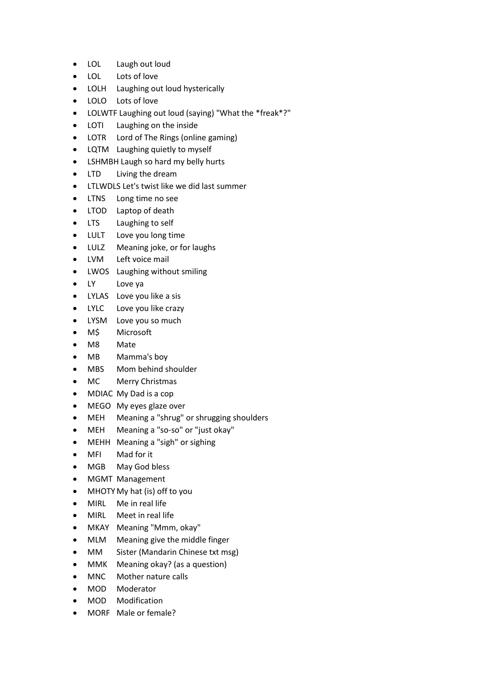- LOL Laugh out loud
- LOL Lots of love
- LOLH Laughing out loud hysterically
- LOLO Lots of love
- LOLWTF Laughing out loud (saying) "What the \*freak\*?"
- LOTI Laughing on the inside
- LOTR Lord of The Rings (online gaming)
- LQTM Laughing quietly to myself
- LSHMBH Laugh so hard my belly hurts
- LTD Living the dream
- LTLWDLS Let's twist like we did last summer
- LTNS Long time no see
- LTOD Laptop of death
- LTS Laughing to self
- LULT Love you long time
- LULZ Meaning joke, or for laughs
- LVM Left voice mail
- LWOS Laughing without smiling
- LY Love ya
- LYLAS Love you like a sis
- LYLC Love you like crazy
- LYSM Love you so much
- M\$ Microsoft
- M8 Mate
- MB Mamma's boy
- MBS Mom behind shoulder
- MC Merry Christmas
- MDIAC My Dad is a cop
- MEGO My eyes glaze over
- MEH Meaning a "shrug" or shrugging shoulders
- MEH Meaning a "so-so" or "just okay"
- MEHH Meaning a "sigh" or sighing
- MFI Mad for it
- MGB May God bless
- MGMT Management
- MHOTY My hat (is) off to you
- MIRL Me in real life
- MIRL Meet in real life
- MKAY Meaning "Mmm, okay"
- MLM Meaning give the middle finger
- MM Sister (Mandarin Chinese txt msg)
- MMK Meaning okay? (as a question)
- MNC Mother nature calls
- MOD Moderator
- MOD Modification
- MORF Male or female?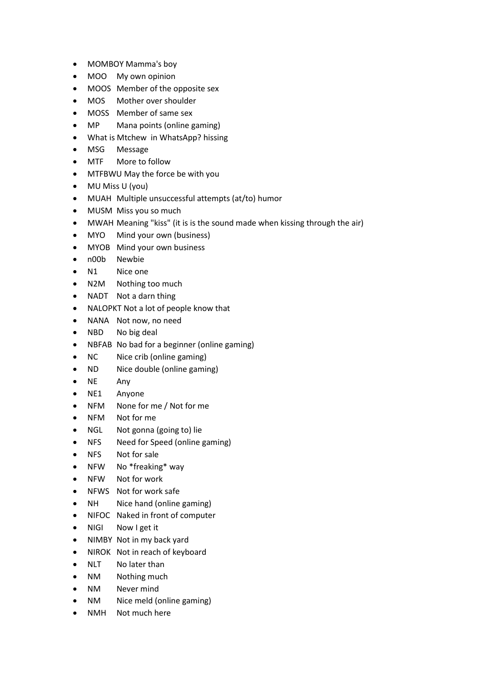- MOMBOY Mamma's boy
- MOO My own opinion
- MOOS Member of the opposite sex
- MOS Mother over shoulder
- MOSS Member of same sex
- MP Mana points (online gaming)
- What is Mtchew in WhatsApp? hissing
- MSG Message
- MTF More to follow
- MTFBWU May the force be with you
- MU Miss U (you)
- MUAH Multiple unsuccessful attempts (at/to) humor
- MUSM Miss you so much
- MWAH Meaning "kiss" (it is is the sound made when kissing through the air)
- MYO Mind your own (business)
- MYOB Mind your own business
- n00b Newbie
- N1 Nice one
- N2M Nothing too much
- NADT Not a darn thing
- NALOPKT Not a lot of people know that
- NANA Not now, no need
- NBD No big deal
- NBFAB No bad for a beginner (online gaming)
- NC Nice crib (online gaming)
- ND Nice double (online gaming)
- NE Any
- NE1 Anyone
- NFM None for me / Not for me
- NFM Not for me
- NGL Not gonna (going to) lie
- NFS Need for Speed (online gaming)
- NFS Not for sale
- NFW No \*freaking\* way
- NFW Not for work
- NFWS Not for work safe
- NH Nice hand (online gaming)
- NIFOC Naked in front of computer
- NIGI Now I get it
- NIMBY Not in my back yard
- NIROK Not in reach of keyboard
- NLT No later than
- NM Nothing much
- NM Never mind
- NM Nice meld (online gaming)
- NMH Not much here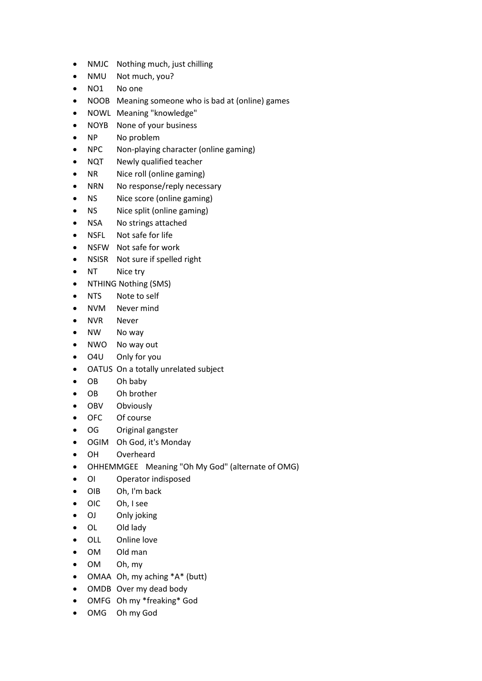- NMJC Nothing much, just chilling
- NMU Not much, you?
- NO1 No one
- NOOB Meaning someone who is bad at (online) games
- NOWL Meaning "knowledge"
- NOYB None of your business
- NP No problem
- NPC Non-playing character (online gaming)
- NQT Newly qualified teacher
- NR Nice roll (online gaming)
- NRN No response/reply necessary
- NS Nice score (online gaming)
- NS Nice split (online gaming)
- NSA No strings attached
- NSFL Not safe for life
- NSFW Not safe for work
- NSISR Not sure if spelled right
- NT Nice try
- NTHING Nothing (SMS)
- NTS Note to self
- NVM Never mind
- NVR Never
- NW No way
- NWO No way out
- O4U Only for you
- OATUS On a totally unrelated subject
- OB Oh baby
- OB Oh brother
- OBV Obviously
- OFC Of course
- OG Original gangster
- OGIM Oh God, it's Monday
- OH Overheard
- OHHEMMGEE Meaning "Oh My God" (alternate of OMG)
- OI Operator indisposed
- OIB Oh, I'm back
- OIC Oh, I see
- OJ Only joking
- OL Old lady
- OLL Online love
- OM Old man
- OM Oh, my
- OMAA Oh, my aching \*A\* (butt)
- OMDB Over my dead body
- OMFG Oh my \*freaking\* God
- OMG Oh my God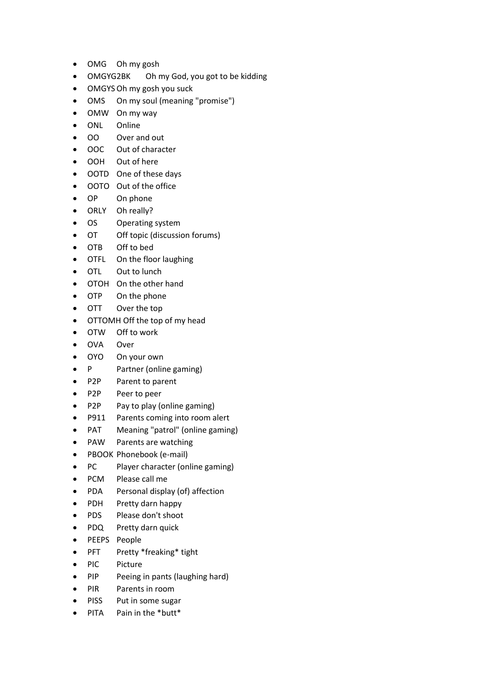- OMG Oh my gosh
- OMGYG2BK Oh my God, you got to be kidding
- OMGYSOh my gosh you suck
- OMS On my soul (meaning "promise")
- OMW On my way
- ONL Online
- OO Over and out
- OOC Out of character
- OOH Out of here
- OOTD One of these days
- OOTO Out of the office
- OP On phone
- ORLY Oh really?
- OS Operating system
- OT Off topic (discussion forums)
- OTB Off to bed
- OTFL On the floor laughing
- OTL Out to lunch
- OTOH On the other hand
- OTP On the phone
- OTT Over the top
- OTTOMH Off the top of my head
- OTW Off to work
- OVA Over
- OYO On your own
- P Partner (online gaming)
- P2P Parent to parent
- P2P Peer to peer
- P2P Pay to play (online gaming)
- P911 Parents coming into room alert
- PAT Meaning "patrol" (online gaming)
- PAW Parents are watching
- PBOOK Phonebook (e-mail)
- PC Player character (online gaming)
- PCM Please call me
- PDA Personal display (of) affection
- PDH Pretty darn happy
- PDS Please don't shoot
- PDQ Pretty darn quick
- PEEPS People
- PFT Pretty \*freaking\* tight
- PIC Picture
- PIP Peeing in pants (laughing hard)
- PIR Parents in room
- PISS Put in some sugar
- PITA Pain in the \*butt\*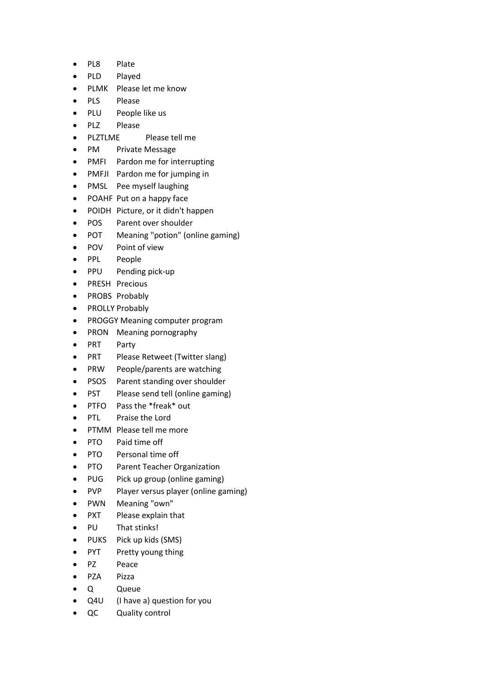- PL8 Plate
- PLD Played
- PLMK Please let me know
- PLS Please
- PLU People like us
- PLZ Please
- PLZTLME Please tell me
- PM Private Message
- PMFI Pardon me for interrupting
- PMFJI Pardon me for jumping in
- PMSL Pee myself laughing
- POAHF Put on a happy face
- POIDH Picture, or it didn't happen
- POS Parent over shoulder
- POT Meaning "potion" (online gaming)
- POV Point of view
- PPL People
- PPU Pending pick-up
- PRESH Precious
- PROBS Probably
- PROLLY Probably
- PROGGY Meaning computer program
- PRON Meaning pornography
- PRT Party
- PRT Please Retweet (Twitter slang)
- PRW People/parents are watching
- PSOS Parent standing over shoulder
- PST Please send tell (online gaming)
- PTFO Pass the \*freak\* out
- PTL Praise the Lord
- PTMM Please tell me more
- PTO Paid time off
- PTO Personal time off
- PTO Parent Teacher Organization
- PUG Pick up group (online gaming)
- PVP Player versus player (online gaming)
- PWN Meaning "own"
- PXT Please explain that
- PU That stinks!
- PUKS Pick up kids (SMS)
- PYT Pretty young thing
- PZ Peace
- PZA Pizza
- Q Queue
- Q4U (I have a) question for you
- QC Quality control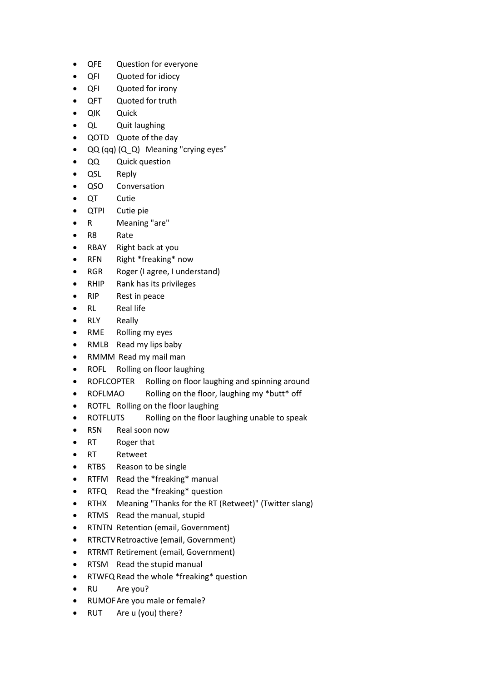- QFE Question for everyone
- QFI Quoted for idiocy
- QFI Quoted for irony
- QFT Quoted for truth
- QIK Quick
- QL Quit laughing
- QOTD Quote of the day
- QQ (qq) (Q\_Q) Meaning "crying eyes"
- QQ Quick question
- QSL Reply
- QSO Conversation
- QT Cutie
- QTPI Cutie pie
- R Meaning "are"
- R8 Rate
- RBAY Right back at you
- RFN Right \*freaking\* now
- RGR Roger (I agree, I understand)
- RHIP Rank has its privileges
- RIP Rest in peace
- RL Real life
- RLY Really
- RME Rolling my eyes
- RMLB Read my lips baby
- RMMM Read my mail man
- ROFL Rolling on floor laughing
- ROFLCOPTER Rolling on floor laughing and spinning around
- ROFLMAO Rolling on the floor, laughing my \*butt\* off
- ROTFL Rolling on the floor laughing
- ROTFLUTS Rolling on the floor laughing unable to speak
- RSN Real soon now
- RT Roger that
- RT Retweet
- RTBS Reason to be single
- RTFM Read the \*freaking\* manual
- RTFQ Read the \*freaking\* question
- RTHX Meaning "Thanks for the RT (Retweet)" (Twitter slang)
- RTMS Read the manual, stupid
- RTNTN Retention (email, Government)
- RTRCTVRetroactive (email, Government)
- RTRMT Retirement (email, Government)
- RTSM Read the stupid manual
- RTWFQ Read the whole \*freaking\* question
- RU Are you?
- RUMOFAre you male or female?
- RUT Are u (you) there?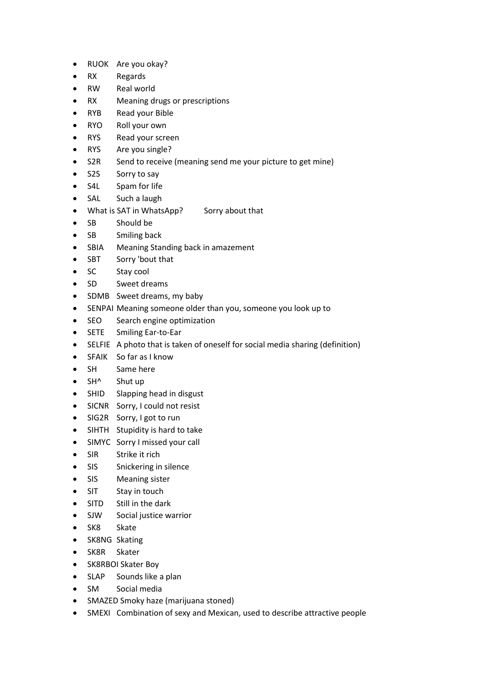- RUOK Are you okay?
- RX Regards
- RW Real world
- RX Meaning drugs or prescriptions
- RYB Read your Bible
- RYO Roll your own
- RYS Read your screen
- RYS Are you single?
- S2R Send to receive (meaning send me your picture to get mine)
- S2S Sorry to say
- S4L Spam for life
- SAL Such a laugh
- What is SAT in WhatsApp? Sorry about that
- SB Should be
- SB Smiling back
- SBIA Meaning Standing back in amazement
- SBT Sorry 'bout that
- SC Stay cool
- SD Sweet dreams
- SDMB Sweet dreams, my baby
- SENPAI Meaning someone older than you, someone you look up to
- SEO Search engine optimization
- SETE Smiling Ear-to-Ear
- SELFIE A photo that is taken of oneself for social media sharing (definition)
- SFAIK So far as I know
- SH Same here
- SH^ Shut up
- SHID Slapping head in disgust
- SICNR Sorry, I could not resist
- SIG2R Sorry, I got to run
- SIHTH Stupidity is hard to take
- SIMYC Sorry I missed your call
- SIR Strike it rich
- SIS Snickering in silence
- SIS Meaning sister
- SIT Stay in touch
- SITD Still in the dark
- SJW Social justice warrior
- SK8 Skate
- SK8NG Skating
- SK8R Skater
- SK8RBOI Skater Boy
- SLAP Sounds like a plan
- SM Social media
- SMAZED Smoky haze (marijuana stoned)
- SMEXI Combination of sexy and Mexican, used to describe attractive people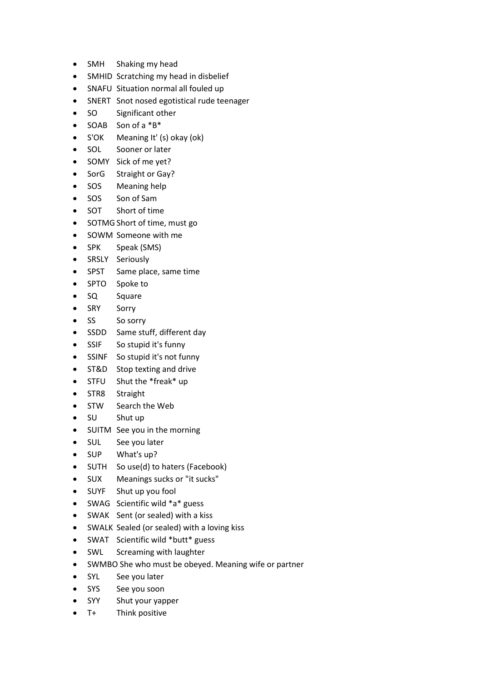- SMH Shaking my head
- SMHID Scratching my head in disbelief
- SNAFU Situation normal all fouled up
- SNERT Snot nosed egotistical rude teenager
- SO Significant other
- SOAB Son of a \*B\*
- S'OK Meaning It' (s) okay (ok)
- SOL Sooner or later
- SOMY Sick of me yet?
- SorG Straight or Gay?
- SOS Meaning help
- SOS Son of Sam
- SOT Short of time
- SOTMG Short of time, must go
- SOWM Someone with me
- SPK Speak (SMS)
- SRSLY Seriously
- SPST Same place, same time
- SPTO Spoke to
- SQ Square
- SRY Sorry
- SS So sorry
- SSDD Same stuff, different day
- SSIF So stupid it's funny
- SSINF So stupid it's not funny
- ST&D Stop texting and drive
- STFU Shut the \*freak\* up
- STR8 Straight
- STW Search the Web
- SU Shut up
- SUITM See you in the morning
- SUL See you later
- SUP What's up?
- SUTH So use(d) to haters (Facebook)
- SUX Meanings sucks or "it sucks"
- SUYF Shut up you fool
- SWAG Scientific wild \*a\* guess
- SWAK Sent (or sealed) with a kiss
- SWALK Sealed (or sealed) with a loving kiss
- SWAT Scientific wild \*butt\* guess
- SWL Screaming with laughter
- SWMBO She who must be obeyed. Meaning wife or partner
- SYL See you later
- SYS See you soon
- SYY Shut your yapper
- T+ Think positive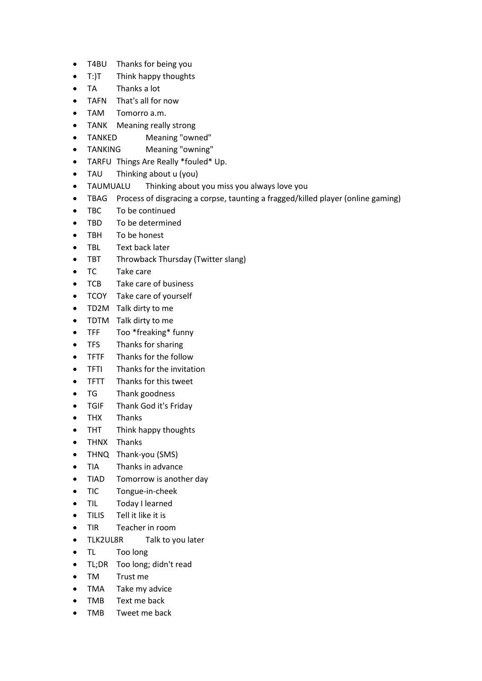- T4BU Thanks for being you
- T:)T Think happy thoughts
- TA Thanks a lot
- TAFN That's all for now
- TAM Tomorro a.m.
- TANK Meaning really strong
- TANKED Meaning "owned"
- TANKING Meaning "owning"
- TARFU Things Are Really \*fouled\* Up.
- TAU Thinking about u (you)
- TAUMUALU Thinking about you miss you always love you
- TBAG Process of disgracing a corpse, taunting a fragged/killed player (online gaming)
- TBC To be continued
- TBD To be determined
- TBH To be honest
- TBL Text back later
- TBT Throwback Thursday (Twitter slang)
- TC Take care
- TCB Take care of business
- TCOY Take care of yourself
- TD2M Talk dirty to me
- TDTM Talk dirty to me
- TFF Too \*freaking\* funny
- TFS Thanks for sharing
- TFTF Thanks for the follow
- TFTI Thanks for the invitation
- TFTT Thanks for this tweet
- TG Thank goodness
- TGIF Thank God it's Friday
- THX Thanks
- THT Think happy thoughts
- THNX Thanks
- THNQ Thank-you (SMS)
- TIA Thanks in advance
- TIAD Tomorrow is another day
- TIC Tongue-in-cheek
- TIL Today I learned
- TILIS Tell it like it is
- TIR Teacher in room
- TLK2UL8R Talk to you later
- TL Too long
- TL;DR Too long; didn't read
- TM Trust me
- TMA Take my advice
- TMB Text me back
- TMB Tweet me back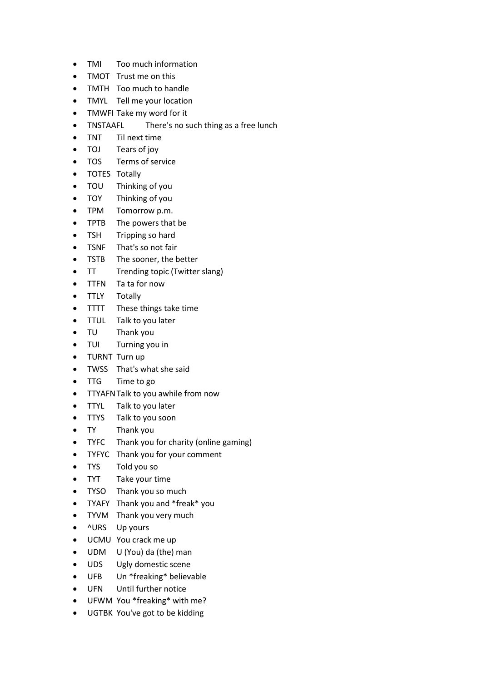- TMI Too much information
- TMOT Trust me on this
- TMTH Too much to handle
- TMYL Tell me your location
- TMWFI Take my word for it
- TNSTAAFL There's no such thing as a free lunch
- TNT Til next time
- TOJ Tears of joy
- TOS Terms of service
- TOTES Totally
- TOU Thinking of you
- TOY Thinking of you
- TPM Tomorrow p.m.
- TPTB The powers that be
- TSH Tripping so hard
- TSNF That's so not fair
- TSTB The sooner, the better
- TT Trending topic (Twitter slang)
- TTFN Ta ta for now
- TTLY Totally
- TTTT These things take time
- TTUL Talk to you later
- TU Thank you
- TUI Turning you in
- TURNT Turn up
- TWSS That's what she said
- TTG Time to go
- TTYAFNTalk to you awhile from now
- TTYL Talk to you later
- TTYS Talk to you soon
- TY Thank you
- TYFC Thank you for charity (online gaming)
- TYFYC Thank you for your comment
- TYS Told you so
- TYT Take your time
- TYSO Thank you so much
- TYAFY Thank you and \*freak\* you
- TYVM Thank you very much
- ^URS Up yours
- UCMU You crack me up
- UDM U (You) da (the) man
- UDS Ugly domestic scene
- UFB Un \*freaking\* believable
- UFN Until further notice
- UFWM You \*freaking\* with me?
- UGTBK You've got to be kidding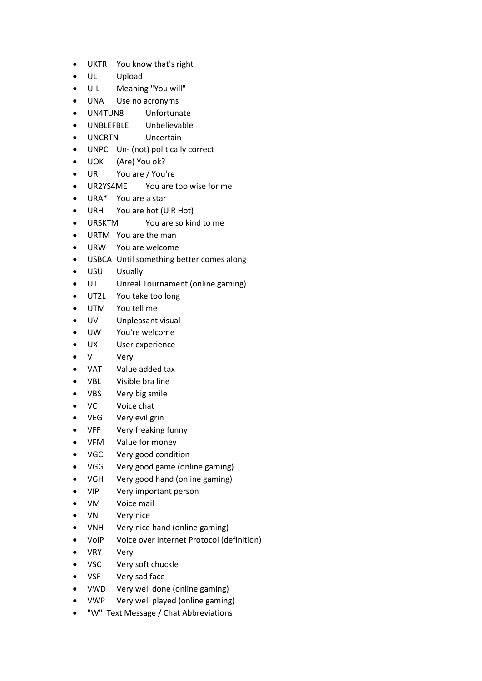- UKTR You know that's right
- UL Upload
- U-L Meaning "You will"
- UNA Use no acronyms
- UN4TUN8 Unfortunate
- UNBLEFBLE Unbelievable
- UNCRTN Uncertain
- UNPC Un- (not) politically correct
- UOK (Are) You ok?
- UR You are / You're
- UR2YS4ME You are too wise for me
- URA\* You are a star
- URH You are hot (U R Hot)
- URSKTM You are so kind to me
- URTM You are the man
- URW You are welcome
- USBCA Until something better comes along
- USU Usually
- UT Unreal Tournament (online gaming)
- UT2L You take too long
- UTM You tell me
- UV Unpleasant visual
- UW You're welcome
- UX User experience
- V Very
- VAT Value added tax
- VBL Visible bra line
- VBS Very big smile
- VC Voice chat
- VEG Very evil grin
- VFF Very freaking funny
- VFM Value for money
- VGC Very good condition
- VGG Very good game (online gaming)
- VGH Very good hand (online gaming)
- VIP Very important person
- VM Voice mail
- VN Very nice
- VNH Very nice hand (online gaming)
- VoIP Voice over Internet Protocol (definition)
- VRY Very
- VSC Very soft chuckle
- VSF Very sad face
- VWD Very well done (online gaming)
- VWP Very well played (online gaming)
- "W" Text Message / Chat Abbreviations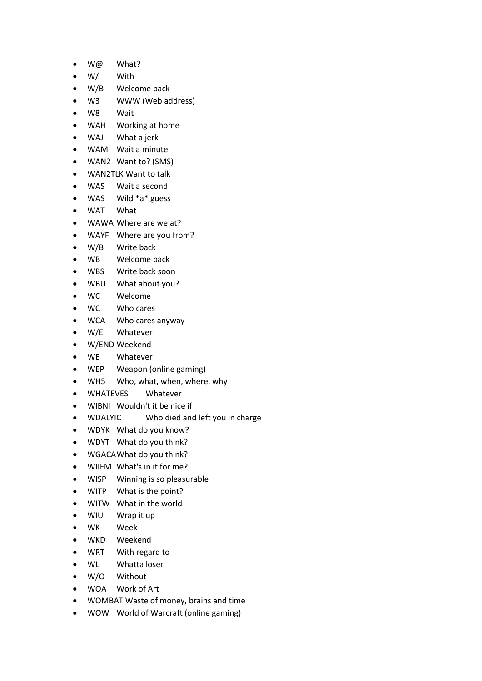- W@ What?
- W/ With
- W/B Welcome back
- W3 WWW (Web address)
- W8 Wait
- WAH Working at home
- WAJ What a jerk
- WAM Wait a minute
- WAN2 Want to? (SMS)
- WAN2TLK Want to talk
- WAS Wait a second
- WAS Wild \*a\* guess
- WAT What
- WAWA Where are we at?
- WAYF Where are you from?
- W/B Write back
- WB Welcome back
- WBS Write back soon
- WBU What about you?
- WC Welcome
- WC Who cares
- WCA Who cares anyway
- W/E Whatever
- W/END Weekend
- WE Whatever
- WEP Weapon (online gaming)
- WH5 Who, what, when, where, why
- WHATEVES Whatever
- WIBNI Wouldn't it be nice if
- WDALYIC Who died and left you in charge
- WDYK What do you know?
- WDYT What do you think?
- WGACAWhat do you think?
- WIIFM What's in it for me?
- WISP Winning is so pleasurable
- WITP What is the point?
- WITW What in the world
- WIU Wrap it up
- WK Week
- WKD Weekend
- WRT With regard to
- WL Whatta loser
- W/O Without
- WOA Work of Art
- WOMBAT Waste of money, brains and time
- WOW World of Warcraft (online gaming)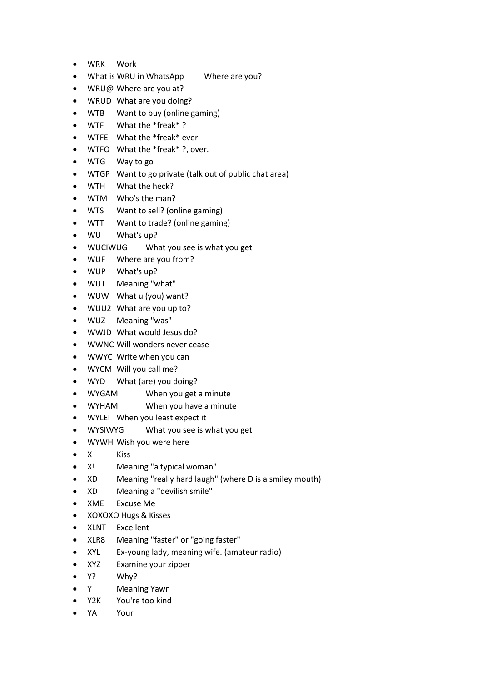- WRK Work
- What is WRU in WhatsApp Where are you?
- WRU@ Where are you at?
- WRUD What are you doing?
- WTB Want to buy (online gaming)
- WTF What the \*freak\* ?
- WTFE What the \*freak\* ever
- WTFO What the \*freak\* ?, over.
- WTG Way to go
- WTGP Want to go private (talk out of public chat area)
- WTH What the heck?
- WTM Who's the man?
- WTS Want to sell? (online gaming)
- WTT Want to trade? (online gaming)
- WU What's up?
- WUCIWUG What you see is what you get
- WUF Where are you from?
- WUP What's up?
- WUT Meaning "what"
- WUW What u (you) want?
- WUU2 What are you up to?
- WUZ Meaning "was"
- WWJD What would Jesus do?
- WWNC Will wonders never cease
- WWYC Write when you can
- WYCM Will you call me?
- WYD What (are) you doing?
- WYGAM When you get a minute
- WYHAM When you have a minute
- WYLEI When you least expect it
- WYSIWYG What you see is what you get
- WYWH Wish you were here
- X Kiss
- X! Meaning "a typical woman"
- XD Meaning "really hard laugh" (where D is a smiley mouth)
- XD Meaning a "devilish smile"
- XME Excuse Me
- XOXOXO Hugs & Kisses
- XLNT Excellent
- XLR8 Meaning "faster" or "going faster"
- XYL Ex-young lady, meaning wife. (amateur radio)
- XYZ Examine your zipper
- Y? Why?
- Y Meaning Yawn
- Y2K You're too kind
- YA Your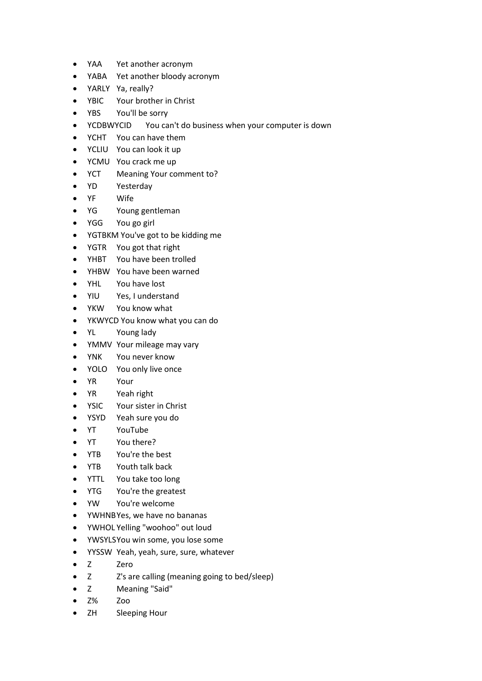- YAA Yet another acronym
- YABA Yet another bloody acronym
- YARLY Ya, really?
- YBIC Your brother in Christ
- YBS You'll be sorry
- YCDBWYCID You can't do business when your computer is down
- YCHT You can have them
- YCLIU You can look it up
- YCMU You crack me up
- YCT Meaning Your comment to?
- YD Yesterday
- YF Wife
- YG Young gentleman
- YGG You go girl
- YGTBKM You've got to be kidding me
- YGTR You got that right
- YHBT You have been trolled
- YHBW You have been warned
- YHL You have lost
- YIU Yes, I understand
- YKW You know what
- YKWYCD You know what you can do
- YL Young lady
- YMMV Your mileage may vary
- YNK You never know
- YOLO You only live once
- YR Your
- YR Yeah right
- YSIC Your sister in Christ
- YSYD Yeah sure you do
- YT YouTube
- YT You there?
- YTB You're the best
- YTB Youth talk back
- YTTL You take too long
- YTG You're the greatest
- YW You're welcome
- YWHNBYes, we have no bananas
- YWHOL Yelling "woohoo" out loud
- YWSYLSYou win some, you lose some
- YYSSW Yeah, yeah, sure, sure, whatever
- Z Zero
- Z Z's are calling (meaning going to bed/sleep)
- Z Meaning "Said"
- Z% Zoo
- ZH Sleeping Hour